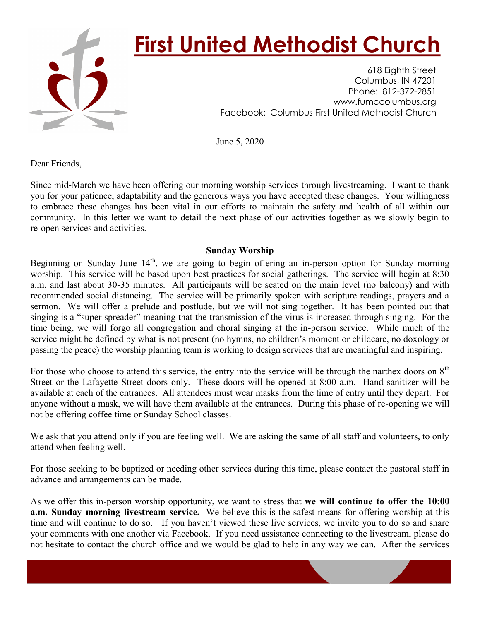

## **First United Methodist Church**

618 Eighth Street Columbus, IN 47201 Phone: 812-372-2851 www.fumccolumbus.org Facebook: Columbus First United Methodist Church

June 5, 2020

Dear Friends,

Since mid-March we have been offering our morning worship services through livestreaming. I want to thank you for your patience, adaptability and the generous ways you have accepted these changes. Your willingness to embrace these changes has been vital in our efforts to maintain the safety and health of all within our community. In this letter we want to detail the next phase of our activities together as we slowly begin to re-open services and activities.

## **Sunday Worship**

Beginning on Sunday June 14<sup>th</sup>, we are going to begin offering an in-person option for Sunday morning worship. This service will be based upon best practices for social gatherings. The service will begin at 8:30 a.m. and last about 30-35 minutes. All participants will be seated on the main level (no balcony) and with recommended social distancing. The service will be primarily spoken with scripture readings, prayers and a sermon. We will offer a prelude and postlude, but we will not sing together. It has been pointed out that singing is a "super spreader" meaning that the transmission of the virus is increased through singing. For the time being, we will forgo all congregation and choral singing at the in-person service. While much of the service might be defined by what is not present (no hymns, no children's moment or childcare, no doxology or passing the peace) the worship planning team is working to design services that are meaningful and inspiring.

For those who choose to attend this service, the entry into the service will be through the narthex doors on  $8<sup>th</sup>$ Street or the Lafayette Street doors only. These doors will be opened at 8:00 a.m. Hand sanitizer will be available at each of the entrances. All attendees must wear masks from the time of entry until they depart. For anyone without a mask, we will have them available at the entrances. During this phase of re-opening we will not be offering coffee time or Sunday School classes.

We ask that you attend only if you are feeling well. We are asking the same of all staff and volunteers, to only attend when feeling well.

For those seeking to be baptized or needing other services during this time, please contact the pastoral staff in advance and arrangements can be made.

As we offer this in-person worship opportunity, we want to stress that **we will continue to offer the 10:00 a.m. Sunday morning livestream service.** We believe this is the safest means for offering worship at this time and will continue to do so. If you haven't viewed these live services, we invite you to do so and share your comments with one another via Facebook. If you need assistance connecting to the livestream, please do not hesitate to contact the church office and we would be glad to help in any way we can. After the services